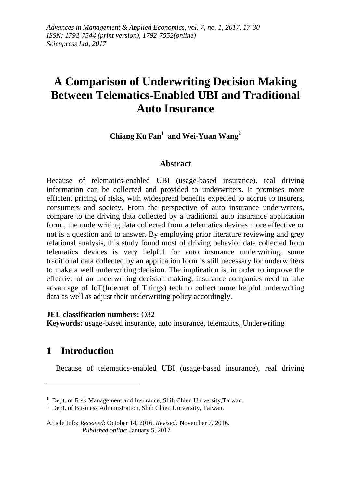# **A Comparison of Underwriting Decision Making Between Telematics-Enabled UBI and Traditional Auto Insurance**

**Chiang Ku Fan<sup>1</sup> and Wei-Yuan Wang<sup>2</sup>**

### **Abstract**

Because of telematics-enabled UBI (usage-based insurance), real driving information can be collected and provided to underwriters. It promises more efficient pricing of risks, with widespread benefits expected to accrue to insurers, consumers and society. From the perspective of auto insurance underwriters, compare to the driving data collected by a traditional auto insurance application form , the underwriting data collected from a telematics devices more effective or not is a question and to answer. By employing prior literature reviewing and grey relational analysis, this study found most of driving behavior data collected from telematics devices is very helpful for auto insurance underwriting, some traditional data collected by an application form is still necessary for underwriters to make a well underwriting decision. The implication is, in order to improve the effective of an underwriting decision making, insurance companies need to take advantage of IoT(Internet of Things) tech to collect more helpful underwriting data as well as adjust their underwriting policy accordingly.

#### **JEL classification numbers:** O32

**Keywords:** usage-based insurance, auto insurance, telematics, Underwriting

# **1 Introduction**

<u>.</u>

Because of telematics-enabled UBI (usage-based insurance), real driving

<sup>&</sup>lt;sup>1</sup> Dept. of Risk Management and Insurance, Shih Chien University, Taiwan.

 $2^{2}$  Dept. of Business Administration, Shih Chien University, Taiwan.

Article Info: *Received*: October 14, 2016. *Revised:* November 7, 2016. *Published online*: January 5, 2017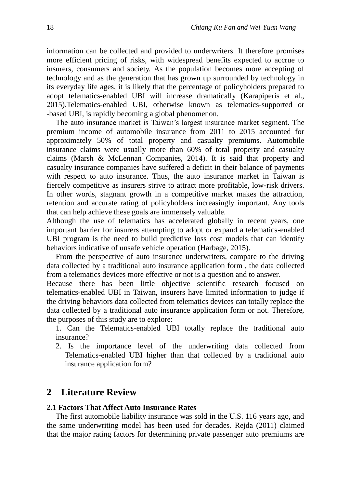information can be collected and provided to underwriters. It therefore promises more efficient pricing of risks, with widespread benefits expected to accrue to insurers, consumers and society. As the population becomes more accepting of technology and as the generation that has grown up surrounded by technology in its everyday life ages, it is likely that the percentage of policyholders prepared to adopt telematics-enabled UBI will increase dramatically (Karapiperis et al., 2015).Telematics-enabled UBI, otherwise known as telematics-supported or -based UBI, is rapidly becoming a global phenomenon.

The auto insurance market is Taiwan's largest insurance market segment. The premium income of automobile insurance from 2011 to 2015 accounted for approximately 50% of total property and casualty premiums. Automobile insurance claims were usually more than 60% of total property and casualty claims (Marsh & McLennan Companies, 2014). It is said that property and casualty insurance companies have suffered a deficit in their balance of payments with respect to auto insurance. Thus, the auto insurance market in Taiwan is fiercely competitive as insurers strive to attract more profitable, low-risk drivers. In other words, stagnant growth in a competitive market makes the attraction, retention and accurate rating of policyholders increasingly important. Any tools that can help achieve these goals are immensely valuable.

Although the use of telematics has accelerated globally in recent years, one important barrier for insurers attempting to adopt or expand a telematics-enabled UBI program is the need to build predictive loss cost models that can identify behaviors indicative of unsafe vehicle operation (Harbage, 2015).

From the perspective of auto insurance underwriters, compare to the driving data collected by a traditional auto insurance application form , the data collected from a telematics devices more effective or not is a question and to answer.

Because there has been little objective scientific research focused on telematics-enabled UBI in Taiwan, insurers have limited information to judge if the driving behaviors data collected from telematics devices can totally replace the data collected by a traditional auto insurance application form or not. Therefore, the purposes of this study are to explore:

1. Can the Telematics-enabled UBI totally replace the traditional auto insurance?

2. Is the importance level of the underwriting data collected from Telematics-enabled UBI higher than that collected by a traditional auto insurance application form?

# **2 Literature Review**

#### **2.1 Factors That Affect Auto Insurance Rates**

The first automobile liability insurance was sold in the U.S. 116 years ago, and the same underwriting model has been used for decades. Rejda (2011) claimed that the major rating factors for determining private passenger auto premiums are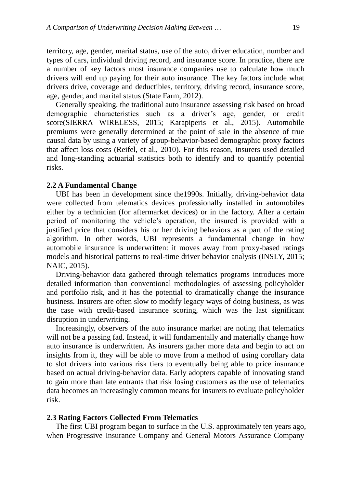territory, age, gender, marital status, use of the auto, driver education, number and types of cars, individual driving record, and insurance score. In practice, there are a number of key factors most insurance companies use to calculate how much drivers will end up paying for their auto insurance. The key factors include what drivers drive, coverage and deductibles, territory, driving record, insurance score, age, gender, and marital status (State Farm, 2012).

Generally speaking, the traditional auto insurance assessing risk based on broad demographic characteristics such as a driver's age, gender, or credit score(SIERRA WIRELESS, 2015; Karapiperis et al., 2015). Automobile premiums were generally determined at the point of sale in the absence of true causal data by using a variety of group-behavior-based demographic proxy factors that affect loss costs (Reifel, et al., 2010). For this reason, insurers used detailed and long-standing actuarial statistics both to identify and to quantify potential risks.

#### **2.2 A Fundamental Change**

UBI has been in development since the1990s. Initially, driving-behavior data were collected from telematics devices professionally installed in automobiles either by a technician (for aftermarket devices) or in the factory. After a certain period of monitoring the vehicle's operation, the insured is provided with a justified price that considers his or her driving behaviors as a part of the rating algorithm. In other words, UBI represents a fundamental change in how automobile insurance is underwritten: it moves away from proxy-based ratings models and historical patterns to real-time driver behavior analysis (INSLY, 2015; NAIC, 2015).

Driving-behavior data gathered through telematics programs introduces more detailed information than conventional methodologies of assessing policyholder and portfolio risk, and it has the potential to dramatically change the insurance business. Insurers are often slow to modify legacy ways of doing business, as was the case with credit-based insurance scoring, which was the last significant disruption in underwriting.

Increasingly, observers of the auto insurance market are noting that telematics will not be a passing fad. Instead, it will fundamentally and materially change how auto insurance is underwritten. As insurers gather more data and begin to act on insights from it, they will be able to move from a method of using corollary data to slot drivers into various risk tiers to eventually being able to price insurance based on actual driving-behavior data. Early adopters capable of innovating stand to gain more than late entrants that risk losing customers as the use of telematics data becomes an increasingly common means for insurers to evaluate policyholder risk.

#### **2.3 Rating Factors Collected From Telematics**

The first UBI program began to surface in the U.S. approximately ten years ago, when Progressive Insurance Company and General Motors Assurance Company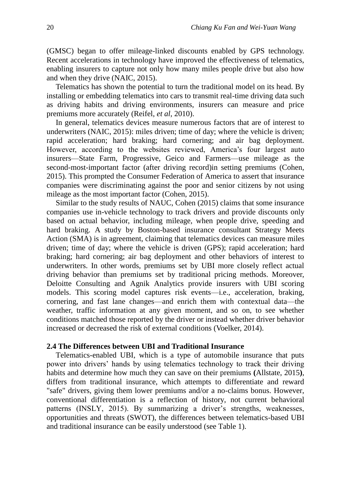(GMSC) began to offer mileage-linked discounts enabled by GPS technology. Recent accelerations in technology have improved the effectiveness of telematics, enabling insurers to capture not only how many miles people drive but also how and when they drive (NAIC, 2015).

Telematics has shown the potential to turn the traditional model on its head. By installing or embedding telematics into cars to transmit real-time driving data such as driving habits and driving environments, insurers can measure and price premiums more accurately (Reifel, *et al*, 2010).

In general, telematics devices measure numerous factors that are of interest to underwriters (NAIC, 2015): miles driven; time of day; where the vehicle is driven; rapid acceleration; hard braking; hard cornering; and air bag deployment. However, according to the websites reviewed, America's four largest auto insurers—State Farm, Progressive, Geico and Farmers—use mileage as the second-most-important factor (after driving record)in setting premiums (Cohen, 2015). This prompted the Consumer Federation of America to assert that insurance companies were discriminating against the poor and senior citizens by not using mileage as the most important factor (Cohen, 2015).

Similar to the study results of NAUC, Cohen (2015) claims that some insurance companies use in-vehicle technology to track drivers and provide discounts only based on actual behavior, including mileage, when people drive, speeding and hard braking. A study by Boston-based insurance consultant Strategy Meets Action (SMA) is in agreement, claiming that telematics devices can measure miles driven; time of day; where the vehicle is driven (GPS); rapid acceleration; hard braking; hard cornering; air bag deployment and other behaviors of interest to underwriters. In other words, premiums set by UBI more closely reflect actual driving behavior than premiums set by traditional pricing methods. Moreover, Deloitte Consulting and Agnik Analytics provide insurers with UBI scoring models. This scoring model captures risk events—i.e., acceleration, braking, cornering, and fast lane changes—and enrich them with contextual data—the weather, traffic information at any given moment, and so on, to see whether conditions matched those reported by the driver or instead whether driver behavior increased or decreased the risk of external conditions (Voelker, 2014).

#### **2.4 The Differences between UBI and Traditional Insurance**

Telematics-enabled UBI, which is a type of automobile insurance that puts power into drivers' hands by using telematics technology to track their driving habits and determine how much they can save on their premiums **(**Allstate, 2015**)**, differs from traditional insurance, which attempts to differentiate and reward "safe" drivers, giving them lower premiums and/or a no-claims bonus. However, conventional differentiation is a reflection of history, not current behavioral patterns (INSLY, 2015). By summarizing a driver's strengths, weaknesses, opportunities and threats (SWOT), the differences between telematics-based UBI and traditional insurance can be easily understood (see Table 1).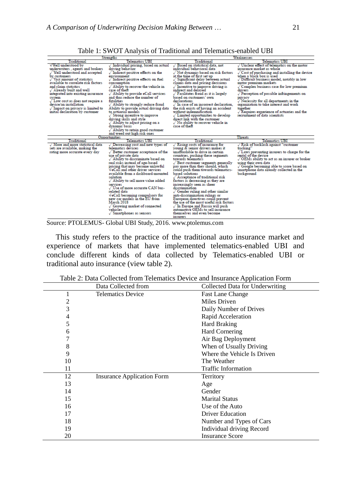| <b>Strengths</b>                                                                                                                                                                                                                                                                                                                                                                                                                                                                              | Weaknesses                                                                                                                                                                                                                                                                                                                                                                                                                                                                                                                                                                                                                                              |                                                                                                                                                                                                                                                                                                                                                                                                                                                                                                                                                                                                                                                                                                                                                             |                                                                                                                                                                                                                                                                                                                                                                                                                                                                                                                                                           |
|-----------------------------------------------------------------------------------------------------------------------------------------------------------------------------------------------------------------------------------------------------------------------------------------------------------------------------------------------------------------------------------------------------------------------------------------------------------------------------------------------|---------------------------------------------------------------------------------------------------------------------------------------------------------------------------------------------------------------------------------------------------------------------------------------------------------------------------------------------------------------------------------------------------------------------------------------------------------------------------------------------------------------------------------------------------------------------------------------------------------------------------------------------------------|-------------------------------------------------------------------------------------------------------------------------------------------------------------------------------------------------------------------------------------------------------------------------------------------------------------------------------------------------------------------------------------------------------------------------------------------------------------------------------------------------------------------------------------------------------------------------------------------------------------------------------------------------------------------------------------------------------------------------------------------------------------|-----------------------------------------------------------------------------------------------------------------------------------------------------------------------------------------------------------------------------------------------------------------------------------------------------------------------------------------------------------------------------------------------------------------------------------------------------------------------------------------------------------------------------------------------------------|
| Traditional                                                                                                                                                                                                                                                                                                                                                                                                                                                                                   | Telematics UBI                                                                                                                                                                                                                                                                                                                                                                                                                                                                                                                                                                                                                                          | Traditional                                                                                                                                                                                                                                                                                                                                                                                                                                                                                                                                                                                                                                                                                                                                                 | Telematics UBI                                                                                                                                                                                                                                                                                                                                                                                                                                                                                                                                            |
| √Well understood by<br>underwriters, agents and brokers<br>$\sqrt{}$ Well understood and accepted<br>by customers<br>$\sqrt{\phantom{a}}$ Vast amount of statistics<br>available to correlate risk factors<br>and claim statistics<br>$\sqrt{\rm\,A}$ lready built and well<br>integrated into existing insurance<br>system<br>$\sqrt{\phantom{a}}$ Low cost as does not require a<br>device/an installation<br>$\sqrt{ }$ Impact on privacy is limited to<br>initial declaration by customer | $\sqrt{}$ Individual pricing, based on actual<br>driving behavior<br>$\sqrt{}$ Indirect positive effects on the<br>environment<br>/ Indirect positive effects on fuel<br>consumption<br>$\sqrt{\phantom{a}}$ Ability to recover the vehicle in<br>case of theft<br>Ability to provide eCall services<br>and thus reduce the number of<br>fatalities<br>$\sqrt{\phantom{a}}$ Ability to strongly reduce fraud<br>Ability to provide actual driving data<br>to actuarial models<br>Strong incentive to improve<br>driving skills and style<br>Ability to adjust pricing on a<br>dynamic basis<br>$\sqrt{\phantom{a}}$ Ability to retain good customer     | $\sqrt{ }$ Based on statistical data, not<br>individual behavioral data<br>Not dynamic-based on risk factors<br>at the time of first set up<br>√ Significant delay between actual<br>claims data and pricing decisions<br>$\sqrt{\ }$ Incentive to improve driving is<br>indirect and delayed<br>$\sqrt{F}$ acilitates fraud as it is largely<br>based on customers' own<br>declarations<br>$\sqrt{\ }$ In case of an incorrect declaration.<br>the risk exists of having an accident<br>without indemnification<br>Limited opportunities to develop<br>direct link with the customer<br>$\sqrt{N}$ o ability to recover vehicle in<br>case of theft                                                                                                        | $\sqrt{0}$ Unclear effect of telematics on the motor<br>insurance market as whole<br>Cost of purchasing and installing the device<br>when a black box is used<br>Difficult business model, notably in low<br>motor premium markets<br>Complex business case for low premium<br>drivers<br>$\sqrt{\ }$ Perception of possible infringements on<br>privacy<br>Necessity for all departments in the<br>organization to take interest and work<br>together<br>$\sqrt{\phantom{a}}$ Requires experience of actuaries and the<br>recruitment of data scientists |
|                                                                                                                                                                                                                                                                                                                                                                                                                                                                                               | and weed out high risk ones                                                                                                                                                                                                                                                                                                                                                                                                                                                                                                                                                                                                                             |                                                                                                                                                                                                                                                                                                                                                                                                                                                                                                                                                                                                                                                                                                                                                             |                                                                                                                                                                                                                                                                                                                                                                                                                                                                                                                                                           |
|                                                                                                                                                                                                                                                                                                                                                                                                                                                                                               | Opportunities                                                                                                                                                                                                                                                                                                                                                                                                                                                                                                                                                                                                                                           |                                                                                                                                                                                                                                                                                                                                                                                                                                                                                                                                                                                                                                                                                                                                                             | Threats                                                                                                                                                                                                                                                                                                                                                                                                                                                                                                                                                   |
| Traditional                                                                                                                                                                                                                                                                                                                                                                                                                                                                                   | <b>Telematics UBI</b>                                                                                                                                                                                                                                                                                                                                                                                                                                                                                                                                                                                                                                   | Traditional                                                                                                                                                                                                                                                                                                                                                                                                                                                                                                                                                                                                                                                                                                                                                 | Telematics UBI                                                                                                                                                                                                                                                                                                                                                                                                                                                                                                                                            |
| $\sqrt{M}$ More and more statistical data<br>sets are available, making the<br>rating more accurate every day                                                                                                                                                                                                                                                                                                                                                                                 | $\sqrt{\,}$ Decreasing cost and new types of<br>telematics devices<br>$\sqrt{ }$ Better customer acceptance of the<br>use of private data<br>Ability to discriminate based on<br>real risks instead of age-based<br>pricing that may become unlawful<br>$\sqrt{\mathsf{e} \mathsf{Call}}$ and other driver services<br>available from a dashboard-mounted<br>solution<br>Ability to sell more value added<br>services<br>Use of more accurate CAN bus-<br>related data<br>$\sqrt{\text{eCall}}$ becoming compulsory for<br>new car models in the EU from<br>March 2018<br>Growing market of connected<br>vehicles<br>$\sqrt{\ }$ Smartphones as sensors | $\sqrt{R}$ Rising costs of insurance for<br>voung & senior drivers makes it<br>unaffordable to drive in certain<br>countries, pushing these segments<br>towards telematics<br>Best customer segments generally<br>pay more than they should, which<br>could push them towards telematics-<br>based solutions<br>$\sqrt{\phantom{a}}$ Acceptance of traditional risk<br>factors is decreasing as they are<br>increasingly seen as sheer<br>discrimination<br>$\sqrt{\phantom{a}}$ Gender ruling and other similar<br>anti-discrimination rulings or<br>European directives could prevent<br>the use of the most useful risk factors<br>√In Europe and Russia will push<br>automotive OEMs to sell insurance<br>themselves and even become<br><b>Insurers</b> | $\sqrt{$ Risk of backlash against "customer"<br>tracking"<br>$\sqrt{\phantom{a}}$ Laws preventing insurers to charge for the<br>rental of the device<br>√OEMs ability to act as an insurer or broker<br>using their own data<br>Google becoming able to score based on<br>smartphone data already collected in the<br>background                                                                                                                                                                                                                          |

Table 1: SWOT Analysis of Traditional and Telematics-enabled UBI

Source: PTOLEMUS- Global UBI Study, 2016. www.ptolemus.com

This study refers to the practice of the traditional auto insurance market and experience of markets that have implemented telematics-enabled UBI and conclude different kinds of data collected by Telematics-enabled UBI or traditional auto insurance (view table 2).

|    | Data Collected from               | Collected Data for Underwriting |
|----|-----------------------------------|---------------------------------|
|    | <b>Telematics Device</b>          | <b>Fast Lane Change</b>         |
| 2  |                                   | Miles Driven                    |
| 3  |                                   | Daily Number of Drives          |
| 4  |                                   | Rapid Acceleration              |
| 5  |                                   | Hard Braking                    |
| 6  |                                   | <b>Hard Cornering</b>           |
| 7  |                                   | Air Bag Deployment              |
| 8  |                                   | When of Usually Driving         |
| 9  |                                   | Where the Vehicle Is Driven     |
| 10 |                                   | The Weather                     |
| 11 |                                   | <b>Traffic Information</b>      |
| 12 | <b>Insurance Application Form</b> | Territory                       |
| 13 |                                   | Age                             |
| 14 |                                   | Gender                          |
| 15 |                                   | <b>Marital Status</b>           |
| 16 |                                   | Use of the Auto                 |
| 17 |                                   | <b>Driver Education</b>         |
| 18 |                                   | Number and Types of Cars        |
| 19 |                                   | Individual driving Record       |
| 20 |                                   | <b>Insurance Score</b>          |

Table 2: Data Collected from Telematics Device and Insurance Application Form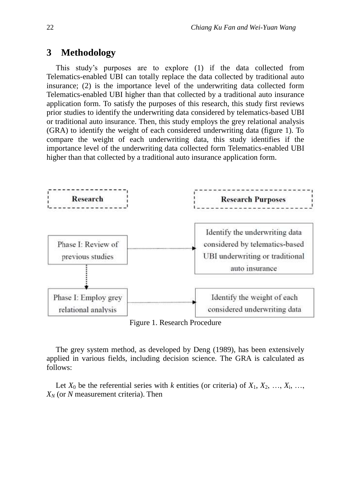# **3 Methodology**

This study's purposes are to explore (1) if the data collected from Telematics-enabled UBI can totally replace the data collected by traditional auto insurance; (2) is the importance level of the underwriting data collected form Telematics-enabled UBI higher than that collected by a traditional auto insurance application form. To satisfy the purposes of this research, this study first reviews prior studies to identify the underwriting data considered by telematics-based UBI or traditional auto insurance. Then, this study employs the grey relational analysis (GRA) to identify the weight of each considered underwriting data (figure 1). To compare the weight of each underwriting data, this study identifies if the importance level of the underwriting data collected form Telematics-enabled UBI higher than that collected by a traditional auto insurance application form.



Figure 1. Research Procedure

The grey system method, as developed by Deng (1989), has been extensively applied in various fields, including decision science. The GRA is calculated as follows:

Let  $X_0$  be the referential series with *k* entities (or criteria) of  $X_1, X_2, \ldots, X_i, \ldots$ *X<sup>N</sup>* (or *N* measurement criteria). Then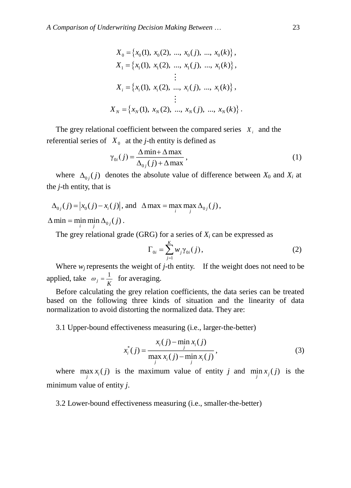$$
X_0 = \{x_0(1), x_0(2), ..., x_0(j), ..., x_0(k)\},
$$
  
\n
$$
X_1 = \{x_1(1), x_1(2), ..., x_1(j), ..., x_1(k)\},
$$
  
\n
$$
\vdots
$$
  
\n
$$
X_i = \{x_i(1), x_i(2), ..., x_i(j), ..., x_i(k)\},
$$
  
\n
$$
\vdots
$$
  
\n
$$
X_N = \{x_N(1), x_N(2), ..., x_N(j), ..., x_N(k)\}.
$$

The grey relational coefficient between the compared series  $X_i$  and the referential series of  $X_0$  at the *j*-th entity is defined as

$$
\gamma_{0i}(j) = \frac{\Delta \min + \Delta \max}{\Delta_{0j}(j) + \Delta \max},
$$
\n(1)

where  $\Delta_{0j}(j)$  denotes the absolute value of difference between  $X_0$  and  $X_i$  at the *j-*th entity, that is

$$
\Delta_{0j}(j) = |x_0(j) - x_i(j)|
$$
, and 
$$
\Delta \max = \max_i \max_j \Delta_{0j}(j)
$$
,

 $\Delta$  min = min min  $\Delta_{0j}(j)$ .

The grey relational grade (GRG) for a series of  $X_i$  can be expressed as

$$
\Gamma_{0i} = \sum_{j=1}^{K} w_j \gamma_{0i}(j), \qquad (2)
$$

Where  $w_j$  represents the weight of  $j$ -th entity. If the weight does not need to be applied, take  $\omega_j = \frac{1}{K}$  $\omega_i = \frac{1}{\kappa}$  for averaging.

Before calculating the grey relation coefficients, the data series can be treated based on the following three kinds of situation and the linearity of data normalization to avoid distorting the normalized data. They are:

#### 3.1 Upper-bound effectiveness measuring (i.e., larger-the-better)

$$
x_i^*(j) = \frac{x_i(j) - \min_j x_i(j)}{\max_j x_i(j) - \min_j x_i(j)},
$$
\n(3)

where  $\max_j x_i(j)$  is the maximum value of entity *j* and  $\min_j x_j(j)$  is the minimum value of entity *j*.

3.2 Lower-bound effectiveness measuring (i.e., smaller-the-better)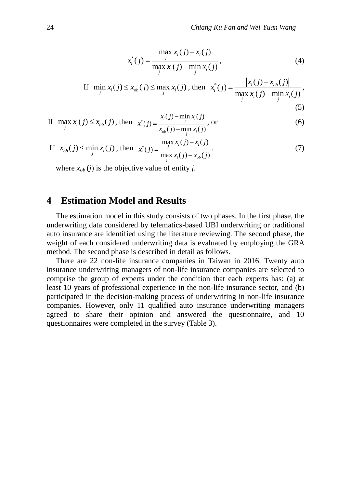$$
x_i^*(j) = \frac{\max_j x_i(j) - x_i(j)}{\max_j x_i(j) - \min_j x_i(j)},
$$
\n(4)

If 
$$
\min_{j} x_i(j) \le x_{ob}(j) \le \max_{j} x_i(j)
$$
, then  $x_i^*(j) = \frac{|x_i(j) - x_{ob}(j)|}{\max_{j} x_i(j) - \min_{j} x_i(j)}$ , (5)

If 
$$
\max_{j} x_i(j) \le x_{ob}(j)
$$
, then  $x_i^*(j) = \frac{x_i(j) - \min_j x_i(j)}{x_{ob}(j) - \min_j x_i(j)}$ , or (6)

If 
$$
x_{ob}(j) \le \min_j x_i(j)
$$
, then  $x_i^*(j) = \frac{\max_j x_i(j) - x_i(j)}{\max_j x_i(j) - x_{ob}(j)}$ . (7)

where  $x_{ob}$  (*j*) is the objective value of entity *j*.

# **4 Estimation Model and Results**

The estimation model in this study consists of two phases. In the first phase, the underwriting data considered by telematics-based UBI underwriting or traditional auto insurance are identified using the literature reviewing. The second phase, the weight of each considered underwriting data is evaluated by employing the GRA method. The second phase is described in detail as follows.

There are 22 non-life insurance companies in Taiwan in 2016. Twenty auto insurance underwriting managers of non-life insurance companies are selected to comprise the group of experts under the condition that each experts has: (a) at least 10 years of professional experience in the non-life insurance sector, and (b) participated in the decision-making process of underwriting in non-life insurance companies. However, only 11 qualified auto insurance underwriting managers agreed to share their opinion and answered the questionnaire, and 10 questionnaires were completed in the survey (Table 3).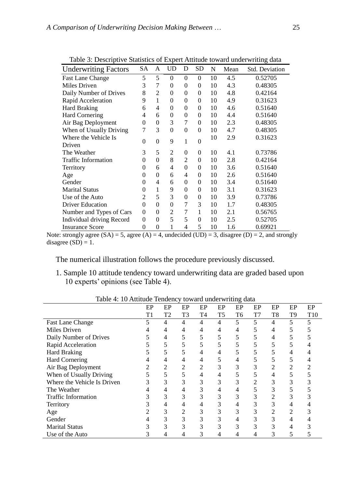|                             | Table 5. Descriptive Statistics of Expert Attitude toward underwriting data |                |                |          |           |    |      |                |  |  |
|-----------------------------|-----------------------------------------------------------------------------|----------------|----------------|----------|-----------|----|------|----------------|--|--|
| <b>Underwriting Factors</b> | <b>SA</b>                                                                   | A              | <b>UD</b>      | D        | <b>SD</b> | N  | Mean | Std. Deviation |  |  |
| <b>Fast Lane Change</b>     | 5                                                                           | 5              | $\theta$       | 0        | $\Omega$  | 10 | 4.5  | 0.52705        |  |  |
| Miles Driven                | 3                                                                           | 7              | $\overline{0}$ | $\theta$ | $\theta$  | 10 | 4.3  | 0.48305        |  |  |
| Daily Number of Drives      | 8                                                                           | 2              | $\overline{0}$ | $\theta$ | $\theta$  | 10 | 4.8  | 0.42164        |  |  |
| Rapid Acceleration          | 9                                                                           | 1              | 0              | $\Omega$ | $\theta$  | 10 | 4.9  | 0.31623        |  |  |
| <b>Hard Braking</b>         | 6                                                                           | 4              | $\theta$       | $\theta$ | $\theta$  | 10 | 4.6  | 0.51640        |  |  |
| <b>Hard Cornering</b>       | 4                                                                           | 6              | $\theta$       | $\theta$ | $\theta$  | 10 | 4.4  | 0.51640        |  |  |
| Air Bag Deployment          | $\theta$                                                                    | $\overline{0}$ | 3              | 7        | $\theta$  | 10 | 2.3  | 0.48305        |  |  |
| When of Usually Driving     | 7                                                                           | 3              | $\theta$       | $\theta$ | $\theta$  | 10 | 4.7  | 0.48305        |  |  |
| Where the Vehicle Is        | $\theta$                                                                    | $\theta$       | 9              | 1        | $\theta$  | 10 | 2.9  | 0.31623        |  |  |
| Driven                      |                                                                             |                |                |          |           |    |      |                |  |  |
| The Weather                 | 3                                                                           | 5              | $\overline{2}$ | $\theta$ | $\Omega$  | 10 | 4.1  | 0.73786        |  |  |
| <b>Traffic Information</b>  | $\theta$                                                                    | $\overline{0}$ | 8              | 2        | $\theta$  | 10 | 2.8  | 0.42164        |  |  |
| Territory                   | $\theta$                                                                    | 6              | 4              | $\theta$ | $\theta$  | 10 | 3.6  | 0.51640        |  |  |
| Age                         | $\theta$                                                                    | $\Omega$       | 6              | 4        | $\theta$  | 10 | 2.6  | 0.51640        |  |  |
| Gender                      | $\theta$                                                                    | 4              | 6              | $\theta$ | $\theta$  | 10 | 3.4  | 0.51640        |  |  |
| <b>Marital Status</b>       | $\theta$                                                                    | 1              | 9              | $\theta$ | $\theta$  | 10 | 3.1  | 0.31623        |  |  |
| Use of the Auto             | 2                                                                           | 5              | 3              | $\theta$ | $\theta$  | 10 | 3.9  | 0.73786        |  |  |
| <b>Driver Education</b>     | $\theta$                                                                    | $\Omega$       | $\theta$       | 7        | 3         | 10 | 1.7  | 0.48305        |  |  |
| Number and Types of Cars    | $\theta$                                                                    | $\theta$       | 2              | 7        | 1         | 10 | 2.1  | 0.56765        |  |  |
| Individual driving Record   | $\theta$                                                                    | $\overline{0}$ | 5              | 5        | $\theta$  | 10 | 2.5  | 0.52705        |  |  |
| <b>Insurance Score</b>      | 0                                                                           | $\overline{0}$ | 1              | 4        | 5         | 10 | 1.6  | 0.69921        |  |  |

Table 3: Descriptive Statistics of Expert Attitude toward underwriting data

Note: strongly agree  $(SA) = 5$ , agree  $(A) = 4$ , undecided  $(UD) = 3$ , disagree  $(D) = 2$ , and strongly disagree  $(SD) = 1$ .

The numerical illustration follows the procedure previously discussed.

1. Sample 10 attitude tendency toward underwriting data are graded based upon 10 experts' opinions (see Table 4).

| Table 4. To Attitude Tendency toward underwitting data | EP | EP | EP | EP | EP             | EP | EP | EP             | EP             | EP  |
|--------------------------------------------------------|----|----|----|----|----------------|----|----|----------------|----------------|-----|
|                                                        | T1 | T2 | T3 | T4 | T <sub>5</sub> | T6 | T7 | T <sub>8</sub> | T <sub>9</sub> | T10 |
| Fast Lane Change                                       |    | 4  | 4  | 4  | 4              | 5  | 5  | 4              | 5              |     |
| Miles Driven                                           |    | 4  | 4  | 4  | 4              | 4  |    | 4              |                |     |
| Daily Number of Drives                                 |    | 4  |    | 5  |                |    |    | 4              |                |     |
| Rapid Acceleration                                     |    |    |    |    |                |    |    |                |                |     |
| <b>Hard Braking</b>                                    |    |    |    | 4  | 4              |    |    |                |                |     |
| <b>Hard Cornering</b>                                  |    | 4  |    | 4  |                | 4  |    |                |                |     |
| Air Bag Deployment                                     |    | 2  | 2  | 2  | 3              | 3  | 3  |                | າ              |     |
| When of Usually Driving                                |    | 5  |    | 4  | 4              |    |    |                |                |     |
| Where the Vehicle Is Driven                            |    | 3  |    | 3  | 3              | 3  | 2  |                |                |     |
| The Weather                                            |    | 4  |    | 3  | 4              | 4  |    | 3              |                |     |
| <b>Traffic Information</b>                             |    | 3  | 3  | 3  | 3              | 3  | 3  |                |                |     |
| Territory                                              |    | 4  |    | 4  | 3              | 4  | 3  |                | 4              |     |
| Age                                                    |    | 3  | 2  | 3  | 3              | 3  | 3  |                | 2              |     |
| Gender                                                 |    | 3  | 3  | 3  | 3              | 4  | 3  | 3              | 4              |     |
| <b>Marital Status</b>                                  |    | 3  | 3  | 3  | 3              | 3  | 3  |                | 4              |     |
| Use of the Auto                                        |    | 4  |    | 3  | 4              | 4  |    | 3              | C              |     |

Table 4: 10 Attitude Tendency toward underwriting data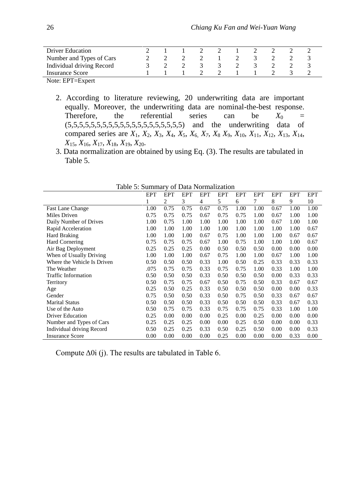| Driver Education          |  |  |  |  |  |
|---------------------------|--|--|--|--|--|
| Number and Types of Cars  |  |  |  |  |  |
| Individual driving Record |  |  |  |  |  |
| <b>Insurance Score</b>    |  |  |  |  |  |
| Note: EPT=Expert          |  |  |  |  |  |

2. According to literature reviewing, 20 underwriting data are important equally. Moreover, the underwriting data are nominal-the-best response. Therefore, the referential series can be  $X_0 =$ (5,5,5,5,5,5,5,5,5,5,5,5,5,5,5,5,5,5,5,5) and the underwriting data of compared series are *X*1, *X*2, *X*3, *X*4, *X*5, *X*6, *X7*, *X*<sup>8</sup> *X*9, *X*10, *X*11, *X*12, *X*13, *X*14, *X*15, *X*16, *X*17, *X*18, *X*19, *X*20.

3. Data normalization are obtained by using Eq. (3). The results are tabulated in Table 5.

|                             | <b>EPT</b> | <b>EPT</b> | <b>EPT</b> | <b>EPT</b> | <b>EPT</b> | <b>EPT</b> | <b>EPT</b> | <b>EPT</b> | <b>EPT</b> | <b>EPT</b> |
|-----------------------------|------------|------------|------------|------------|------------|------------|------------|------------|------------|------------|
|                             | 1          | 2          | 3          | 4          | 5          | 6          | 7          | 8          | 9          | 10         |
| <b>Fast Lane Change</b>     | 1.00       | 0.75       | 0.75       | 0.67       | 0.75       | 1.00       | 1.00       | 0.67       | 1.00       | 1.00       |
| Miles Driven                | 0.75       | 0.75       | 0.75       | 0.67       | 0.75       | 0.75       | 1.00       | 0.67       | 1.00       | 1.00       |
| Daily Number of Drives      | 1.00       | 0.75       | 1.00       | 1.00       | 1.00       | 1.00       | 1.00       | 0.67       | 1.00       | 1.00       |
| Rapid Acceleration          | 1.00       | 1.00       | 1.00       | 1.00       | 1.00       | 1.00       | 1.00       | 1.00       | 1.00       | 0.67       |
| Hard Braking                | 1.00       | 1.00       | 1.00       | 0.67       | 0.75       | 1.00       | 1.00       | 1.00       | 0.67       | 0.67       |
| Hard Cornering              | 0.75       | 0.75       | 0.75       | 0.67       | 1.00       | 0.75       | 1.00       | 1.00       | 1.00       | 0.67       |
| Air Bag Deployment          | 0.25       | 0.25       | 0.25       | 0.00       | 0.50       | 0.50       | 0.50       | 0.00       | 0.00       | 0.00       |
| When of Usually Driving     | 1.00       | 1.00       | 1.00       | 0.67       | 0.75       | 1.00       | 1.00       | 0.67       | 1.00       | 1.00       |
| Where the Vehicle Is Driven | 0.50       | 0.50       | 0.50       | 0.33       | 1.00       | 0.50       | 0.25       | 0.33       | 0.33       | 0.33       |
| The Weather                 | .075       | 0.75       | 0.75       | 0.33       | 0.75       | 0.75       | 1.00       | 0.33       | 1.00       | 1.00       |
| Traffic Information         | 0.50       | 0.50       | 0.50       | 0.33       | 0.50       | 0.50       | 0.50       | 0.00       | 0.33       | 0.33       |
| Territory                   | 0.50       | 0.75       | 0.75       | 0.67       | 0.50       | 0.75       | 0.50       | 0.33       | 0.67       | 0.67       |
| Age                         | 0.25       | 0.50       | 0.25       | 0.33       | 0.50       | 0.50       | 0.50       | 0.00       | 0.00       | 0.33       |
| Gender                      | 0.75       | 0.50       | 0.50       | 0.33       | 0.50       | 0.75       | 0.50       | 0.33       | 0.67       | 0.67       |
| <b>Marital Status</b>       | 0.50       | 0.50       | 0.50       | 0.33       | 0.50       | 0.50       | 0.50       | 0.33       | 0.67       | 0.33       |
| Use of the Auto             | 0.50       | 0.75       | 0.75       | 0.33       | 0.75       | 0.75       | 0.75       | 0.33       | 1.00       | 1.00       |
| <b>Driver Education</b>     | 0.25       | 0.00       | 0.00       | 0.00       | 0.25       | 0.00       | 0.25       | 0.00       | 0.00       | 0.00       |
| Number and Types of Cars    | 0.25       | 0.25       | 0.25       | 0.00       | 0.00       | 0.25       | 0.50       | 0.00       | 0.00       | 0.33       |
| Individual driving Record   | 0.50       | 0.25       | 0.25       | 0.33       | 0.50       | 0.25       | 0.50       | 0.00       | 0.00       | 0.33       |
| <b>Insurance Score</b>      | 0.00       | 0.00       | 0.00       | 0.00       | 0.25       | 0.00       | 0.00       | 0.00       | 0.33       | 0.00       |

Table 5: Summary of Data Normalization

Compute  $\Delta 0i$  (j). The results are tabulated in Table 6.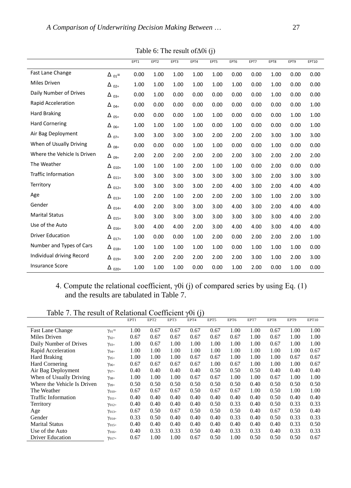|                             |                         | EPT1 | EPT <sub>2</sub> | EPT3 | EPT4 | EPT5 | EPT6 | EPT7 | EPT8 | EPT9 | EPT10 |
|-----------------------------|-------------------------|------|------------------|------|------|------|------|------|------|------|-------|
| Fast Lane Change            | $\Delta_{01}$ =         | 0.00 | 1.00             | 1.00 | 1.00 | 1.00 | 0.00 | 0.00 | 1.00 | 0.00 | 0.00  |
| Miles Driven                | $\Delta$ 02=            | 1.00 | 1.00             | 1.00 | 1.00 | 1.00 | 1.00 | 0.00 | 1.00 | 0.00 | 0.00  |
| Daily Number of Drives      | $\Delta$ <sub>03=</sub> | 0.00 | 1.00             | 0.00 | 0.00 | 0.00 | 0.00 | 0.00 | 1.00 | 0.00 | 0.00  |
| Rapid Acceleration          | $\Delta$ 04=            | 0.00 | 0.00             | 0.00 | 0.00 | 0.00 | 0.00 | 0.00 | 0.00 | 0.00 | 1.00  |
| <b>Hard Braking</b>         | $\Delta$ <sub>05=</sub> | 0.00 | 0.00             | 0.00 | 1.00 | 1.00 | 0.00 | 0.00 | 0.00 | 1.00 | 1.00  |
| <b>Hard Cornering</b>       | $\Delta$ 06=            | 1.00 | 1.00             | 1.00 | 1.00 | 0.00 | 1.00 | 0.00 | 0.00 | 0.00 | 1.00  |
| Air Bag Deployment          | $\Delta$ 07=            | 3.00 | 3.00             | 3.00 | 3.00 | 2.00 | 2.00 | 2.00 | 3.00 | 3.00 | 3.00  |
| When of Usually Driving     | $\Delta$ <sub>08=</sub> | 0.00 | 0.00             | 0.00 | 1.00 | 1.00 | 0.00 | 0.00 | 1.00 | 0.00 | 0.00  |
| Where the Vehicle Is Driven | $\Delta_{0.95}$         | 2.00 | 2.00             | 2.00 | 2.00 | 2.00 | 2.00 | 3.00 | 2.00 | 2.00 | 2.00  |
| The Weather                 | $\Delta$ 010=           | 1.00 | 1.00             | 1.00 | 2.00 | 1.00 | 1.00 | 0.00 | 2.00 | 0.00 | 0.00  |
| <b>Traffic Information</b>  | $\Delta$ 011=           | 3.00 | 3.00             | 3.00 | 3.00 | 3.00 | 3.00 | 3.00 | 2.00 | 3.00 | 3.00  |
| Territory                   | $\Delta$ 012=           | 3.00 | 3.00             | 3.00 | 3.00 | 2.00 | 4.00 | 3.00 | 2.00 | 4.00 | 4.00  |
| Age                         | $\Delta$ 013=           | 1.00 | 2.00             | 1.00 | 2.00 | 2.00 | 2.00 | 3.00 | 1.00 | 2.00 | 3.00  |
| Gender                      | $\Delta$ 014=           | 4.00 | 2.00             | 3.00 | 3.00 | 3.00 | 4.00 | 3.00 | 2.00 | 4.00 | 4.00  |
| <b>Marital Status</b>       | $\Delta$ 015=           | 3.00 | 3.00             | 3.00 | 3.00 | 3.00 | 3.00 | 3.00 | 3.00 | 4.00 | 2.00  |
| Use of the Auto             | $\Delta$ 016=           | 3.00 | 4.00             | 4.00 | 2.00 | 3.00 | 4.00 | 4.00 | 3.00 | 4.00 | 4.00  |
| <b>Driver Education</b>     | $\Delta$ 017=           | 1.00 | 0.00             | 0.00 | 1.00 | 2.00 | 0.00 | 2.00 | 2.00 | 2.00 | 1.00  |
| Number and Types of Cars    | $\Delta_{018=}$         | 1.00 | 1.00             | 1.00 | 1.00 | 1.00 | 0.00 | 1.00 | 1.00 | 1.00 | 0.00  |
| Individual driving Record   | $\Delta$ 019=           | 3.00 | 2.00             | 2.00 | 2.00 | 2.00 | 2.00 | 3.00 | 1.00 | 2.00 | 3.00  |
| <b>Insurance Score</b>      | $\Delta$ 020=           | 1.00 | 1.00             | 1.00 | 0.00 | 0.00 | 1.00 | 2.00 | 0.00 | 1.00 | 0.00  |

Table 6: The result ofΔ0i (j)

4. Compute the relational coefficient,  $\gamma$ 0i (j) of compared series by using Eq. (1) and the results are tabulated in Table 7.

Table 7. The result of Relational Coefficient  $\gamma$ 0i (j)

| Table 7. The result of Kelational Cochilentii |                 |      |                  |      | $\gamma$ VI (1) |      |      |      |      |      |       |
|-----------------------------------------------|-----------------|------|------------------|------|-----------------|------|------|------|------|------|-------|
|                                               |                 | EPT1 | EPT <sub>2</sub> | EPT3 | EPT4            | EPT5 | EPT6 | EPT7 | EPT8 | EPT9 | EPT10 |
| <b>Fast Lane Change</b>                       | $\gamma_{01} =$ | 1.00 | 0.67             | 0.67 | 0.67            | 0.67 | 1.00 | 1.00 | 0.67 | 1.00 | 1.00  |
| Miles Driven                                  | $\gamma_{02}$   | 0.67 | 0.67             | 0.67 | 0.67            | 0.67 | 0.67 | 1.00 | 0.67 | 1.00 | 1.00  |
| Daily Number of Drives                        | $\gamma_{03}$   | 1.00 | 0.67             | 1.00 | 1.00            | 1.00 | 1.00 | 1.00 | 0.67 | 1.00 | 1.00  |
| Rapid Acceleration                            | $\gamma_{04}$   | 1.00 | 1.00             | 1.00 | 1.00            | 1.00 | 1.00 | 1.00 | 1.00 | 1.00 | 0.67  |
| Hard Braking                                  | $\gamma_{05=}$  | 1.00 | 1.00             | 1.00 | 0.67            | 0.67 | 1.00 | 1.00 | 1.00 | 0.67 | 0.67  |
| Hard Cornering                                | $\gamma_{06=}$  | 0.67 | 0.67             | 0.67 | 0.67            | 1.00 | 0.67 | 1.00 | 1.00 | 1.00 | 0.67  |
| Air Bag Deployment                            | $\gamma_{07}$   | 0.40 | 0.40             | 0.40 | 0.40            | 0.50 | 0.50 | 0.50 | 0.40 | 0.40 | 0.40  |
| When of Usually Driving                       | $\gamma_{08}$   | 1.00 | 1.00             | 1.00 | 0.67            | 0.67 | 1.00 | 1.00 | 0.67 | 1.00 | 1.00  |
| Where the Vehicle Is Driven                   | $\gamma_{09}$   | 0.50 | 0.50             | 0.50 | 0.50            | 0.50 | 0.50 | 0.40 | 0.50 | 0.50 | 0.50  |
| The Weather                                   | $\gamma_{010}$  | 0.67 | 0.67             | 0.67 | 0.50            | 0.67 | 0.67 | 1.00 | 0.50 | 1.00 | 1.00  |
| Traffic Information                           | $\gamma_{011}$  | 0.40 | 0.40             | 0.40 | 0.40            | 0.40 | 0.40 | 0.40 | 0.50 | 0.40 | 0.40  |
| Territory                                     | $\gamma_{012}$  | 0.40 | 0.40             | 0.40 | 0.40            | 0.50 | 0.33 | 0.40 | 0.50 | 0.33 | 0.33  |
| Age                                           | $\gamma_{013}$  | 0.67 | 0.50             | 0.67 | 0.50            | 0.50 | 0.50 | 0.40 | 0.67 | 0.50 | 0.40  |
| Gender                                        | $\gamma_{014}$  | 0.33 | 0.50             | 0.40 | 0.40            | 0.40 | 0.33 | 0.40 | 0.50 | 0.33 | 0.33  |
| <b>Marital Status</b>                         | $\gamma_{015=}$ | 0.40 | 0.40             | 0.40 | 0.40            | 0.40 | 0.40 | 0.40 | 0.40 | 0.33 | 0.50  |
| Use of the Auto                               | $\gamma_{016}$  | 0.40 | 0.33             | 0.33 | 0.50            | 0.40 | 0.33 | 0.33 | 0.40 | 0.33 | 0.33  |
| <b>Driver Education</b>                       | $\gamma_{017=}$ | 0.67 | 1.00             | 1.00 | 0.67            | 0.50 | 1.00 | 0.50 | 0.50 | 0.50 | 0.67  |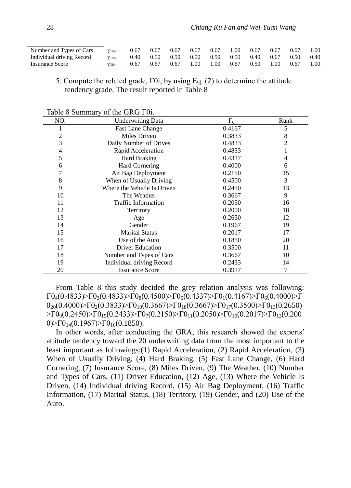| Number and Types of Cars  | $\gamma_{018}$ | 0.67 | 0.67 | 0.67 | 0.67 | 0.67 | .00  | 0.67 | 0.67 | 0.67 | 1.00 |
|---------------------------|----------------|------|------|------|------|------|------|------|------|------|------|
| Individual driving Record | $\gamma_{019}$ | 0.40 | 0.50 | 0.50 | 0.50 | 0.50 | 0.50 | 0.40 | 0.67 | 0.50 | 0.40 |
| Insurance Score           | $\gamma_{020}$ | 0.67 | 0.67 | 0.67 | 1.00 | 1.00 | 0.67 | 0.50 | 1.00 | 0.67 | 1.00 |

#### 5. Compute the related grade, Γ0i, by using Eq. (2) to determine the attitude tendency grade. The result reported in Table 8

| NO. | <b>Underwriting Data</b>    | $\Gamma_{0i}$ | Rank |
|-----|-----------------------------|---------------|------|
| 1   | <b>Fast Lane Change</b>     | 0.4167        | 5    |
| 2   | Miles Driven                | 0.3833        | 8    |
| 3   | Daily Number of Drives      | 0.4833        | 2    |
| 4   | Rapid Acceleration          | 0.4833        |      |
| 5   | <b>Hard Braking</b>         | 0.4337        | 4    |
| 6   | <b>Hard Cornering</b>       | 0.4000        | 6    |
| 7   | Air Bag Deployment          | 0.2150        | 15   |
| 8   | When of Usually Driving     | 0.4500        | 3    |
| 9   | Where the Vehicle Is Driven | 0.2450        | 13   |
| 10  | The Weather                 | 0.3667        | 9    |
| 11  | <b>Traffic Information</b>  | 0.2050        | 16   |
| 12  | Territory                   | 0.2000        | 18   |
| 13  | Age                         | 0.2650        | 12   |
| 14  | Gender                      | 0.1967        | 19   |
| 15  | <b>Marital Status</b>       | 0.2017        | 17   |
| 16  | Use of the Auto             | 0.1850        | 20   |
| 17  | <b>Driver Education</b>     | 0.3500        | 11   |
| 18  | Number and Types of Cars    | 0.3667        | 10   |
| 19  | Individual driving Record   | 0.2433        | 14   |
| 20  | <b>Insurance Score</b>      | 0.3917        | 7    |

Table 8 Summary of the GRG Γ0i.

From Table 8 this study decided the grey relation analysis was following:  $\Gamma$ 0<sub>4</sub>(0.4833)>Γ0<sub>3</sub>(0.4833)>Γ0<sub>8</sub>(0.4500)>Γ0<sub>5</sub>(0.4337)>Γ0<sub>1</sub>(0.4167)>Γ0<sub>6</sub>(0.4000)>Γ  $0_{20}(0.4000) > \Gamma 0_{2}(0.3833) > \Gamma 0_{10}(0.3667) > \Gamma 0_{18}(0.3667) > \Gamma 0_{17}(0.3500) > \Gamma 0_{13}(0.2650)$  $>$ Γ0<sub>9</sub>(0.2450) $>$ Γ0<sub>19</sub>(0.2433) $>$ Γ0<sub>7</sub>(0.2150) $>$ Γ0<sub>11</sub>(0.2050) $>$ Γ0<sub>15</sub>(0.2017) $>$ Γ0<sub>12</sub>(0.200 0)>Γ0<sub>14</sub>(0.1967)>Γ0<sub>16</sub>(0.1850).

In other words, after conducting the GRA, this research showed the experts' attitude tendency toward the 20 underwriting data from the most important to the least important as followings:(1) Rapid Acceleration, (2) Rapid Acceleration, (3) When of Usually Driving, (4) Hard Braking, (5) Fast Lane Change, (6) Hard Cornering, (7) Insurance Score, (8) Miles Driven, (9) The Weather, (10) Number and Types of Cars, (11) Driver Education, (12) Age, (13) Where the Vehicle Is Driven, (14) Individual driving Record, (15) Air Bag Deployment, (16) Traffic Information, (17) Marital Status, (18) Territory, (19) Gender, and (20) Use of the Auto.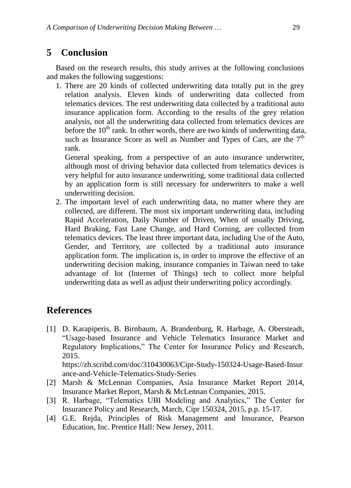# **5 Conclusion**

Based on the research results, this study arrives at the following conclusions and makes the following suggestions:

1. There are 20 kinds of collected underwriting data totally put in the grey relation analysis. Eleven kinds of underwriting data collected from telematics devices. The rest underwriting data collected by a traditional auto insurance application form. According to the results of the grey relation analysis, not all the underwriting data collected from telematics devices are before the  $10<sup>th</sup>$  rank. In other words, there are two kinds of underwriting data, such as Insurance Score as well as Number and Types of Cars, are the  $7<sup>th</sup>$ rank.

General speaking, from a perspective of an auto insurance underwriter, although most of driving behavior data collected from telematics devices is very helpful for auto insurance underwriting, some traditional data collected by an application form is still necessary for underwriters to make a well underwriting decision.

2. The important level of each underwriting data, no matter where they are collected, are different. The most six important underwriting data, including Rapid Acceleration, Daily Number of Driven, When of usually Driving, Hard Braking, Fast Lane Change, and Hard Corning, are collected from telematics devices. The least three important data, including Use of the Auto, Gender, and Territory, are collected by a traditional auto insurance application form. The implication is, in order to improve the effective of an underwriting decision making, insurance companies in Taiwan need to take advantage of Iot (Internet of Things) tech to collect more helpful underwriting data as well as adjust their underwriting policy accordingly.

# **References**

[1] D. Karapiperis, B. Birnbaum, A. Brandenburg, R. Harbage, A. Obersteadt, "Usage-based Insurance and Vehicle Telematics Insurance Market and Regulatory Implications," The Center for Insurance Policy and Research, 2015. https://zh.scribd.com/doc/310430063/Cipr-Study-150324-Usage-Based-Insur

ance-and-Vehicle-Telematics-Study-Series

- [2] Marsh & McLennan Companies, Asia Insurance Market Report 2014, Insurance Market Report, Marsh & McLennan Companies, 2015.
- [3] R. Harbage, "Telematics UBI Modeling and Analytics," The Center for Insurance Policy and Research, March, Cipr 150324, 2015, p.p. 15-17.
- [4] G.E. Rejda, Principles of Risk Management and Insurance, Pearson Education, Inc. Prentice Hall: New Jersey, 2011.